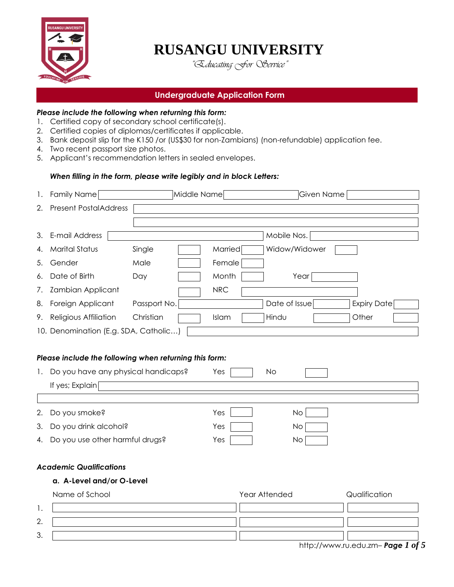

# **RUSANGU UNIVERSITY**

*"Educating For Service"*

# **Undergraduate Application Form**

### *Please include the following when returning this form:*

- 1. Certified copy of secondary school certificate(s).
- 2. Certified copies of diplomas/certificates if applicable.
- 3. Bank deposit slip for the K150 /or (US\$30 for non-Zambians) (non-refundable) application fee.
- 4. Two recent passport size photos.
- 5. Applicant's recommendation letters in sealed envelopes.

### *When filling in the form, please write legibly and in block Letters:*

| 1. | <b>Family Name</b>                                     | Middle Name  |            | Given Name    |                    |
|----|--------------------------------------------------------|--------------|------------|---------------|--------------------|
| 2. | <b>Present PostalAddress</b>                           |              |            |               |                    |
|    |                                                        |              |            |               |                    |
| 3. | E-mail Address                                         |              |            | Mobile Nos.   |                    |
| 4. | <b>Marital Status</b>                                  | Single       | Married    | Widow/Widower |                    |
| 5. | Gender                                                 | Male         | Female     |               |                    |
| 6. | Date of Birth                                          | Day          | Month      | Year          |                    |
| 7. | Zambian Applicant                                      |              | <b>NRC</b> |               |                    |
| 8. | Foreign Applicant                                      | Passport No. |            | Date of Issue | <b>Expiry Date</b> |
| 9. | Religious Affiliation                                  | Christian    | Islam      | Hindu         | Other              |
|    | 10. Denomination (E.g. SDA, Catholic)                  |              |            |               |                    |
|    |                                                        |              |            |               |                    |
|    | Please include the following when returning this form: |              |            |               |                    |
| 1. | Do you have any physical handicaps?                    |              | Yes        | <b>No</b>     |                    |
|    | If yes; Explain                                        |              |            |               |                    |
|    |                                                        |              |            |               |                    |
| 2. | Do you smoke?                                          |              | Yes        | <b>No</b>     |                    |
| 3. | Do you drink alcohol?                                  |              | Yes        | No.           |                    |
| 4. | Do you use other harmful drugs?                        |              | Yes        | No            |                    |
|    |                                                        |              |            |               |                    |
|    | <b>Academic Qualifications</b>                         |              |            |               |                    |
|    | a. A-Level and/or O-Level                              |              |            |               |                    |
|    | Name of School                                         |              |            | Year Attended | Qualification      |
| 1. |                                                        |              |            |               |                    |
| 2. |                                                        |              |            |               |                    |
| 3. |                                                        |              |            |               |                    |

[http://www.ru.edu.zm](http://www.rusanguuniversity.org/)– *Page 1 of 5*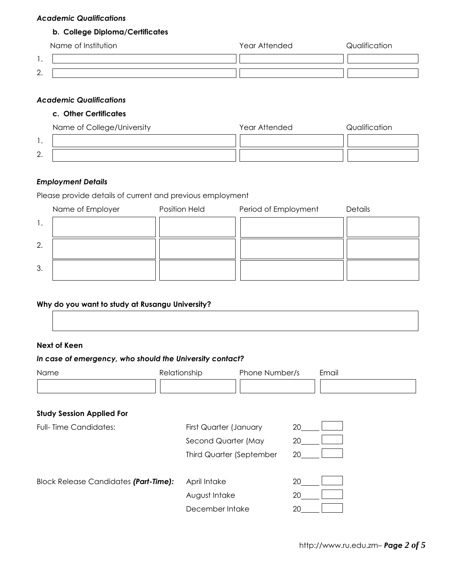### *Academic Qualifications*

# **b. College Diploma/Certificates**

|               | Name of Institution | Year Attended | Qualification |
|---------------|---------------------|---------------|---------------|
|               |                     |               |               |
| ⌒<br><u>.</u> |                     |               |               |

### *Academic Qualifications*

# **c. Other Certificates**

|         | Name of College/University | Year Attended | Qualification |
|---------|----------------------------|---------------|---------------|
|         |                            |               |               |
| ⌒<br>L. |                            |               |               |

### *Employment Details*

Please provide details of current and previous employment

|    | Name of Employer | <b>Position Held</b> | Period of Employment | Details |
|----|------------------|----------------------|----------------------|---------|
|    |                  |                      |                      |         |
| 2. |                  |                      |                      |         |
| 3. |                  |                      |                      |         |

### **Why do you want to study at Rusangu University?**

### **Next of Keen**

# *In case of emergency, who should the University contact?*

| Name                                         | Relationship           | Phone Number/s                  | Email |  |
|----------------------------------------------|------------------------|---------------------------------|-------|--|
|                                              |                        |                                 |       |  |
| <b>Study Session Applied For</b>             |                        |                                 |       |  |
|                                              |                        |                                 |       |  |
| <b>Full-Time Candidates:</b>                 | First Quarter (January |                                 | 20    |  |
|                                              | Second Quarter (May    |                                 | 20    |  |
|                                              |                        | <b>Third Quarter (September</b> | 20    |  |
|                                              |                        |                                 |       |  |
| <b>Block Release Candidates (Part-Time):</b> | April Intake           |                                 | 20    |  |
|                                              | August Intake          |                                 | 20    |  |
|                                              | December Intake        |                                 | 20    |  |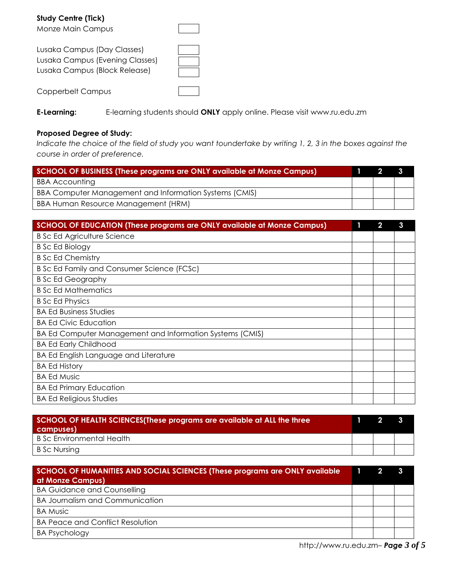**Study Centre (Tick)** Monze Main Campus Lusaka Campus (Day Classes) Lusaka Campus (Evening Classes) Lusaka Campus (Block Release) Copperbelt Campus

**E-Learning:** E-learning students should **ONLY** apply online. Please visit www.ru.edu.zm

### **Proposed Degree of Study:**

*Indicate the choice of the field of study you want toundertake by writing 1, 2, 3 in the boxes against the course in order of preference.* 

| <b>SCHOOL OF BUSINESS (These programs are ONLY available at Monze Campus)</b> |  |  | <b>3</b> |
|-------------------------------------------------------------------------------|--|--|----------|
| <b>BBA Accounting</b>                                                         |  |  |          |
| BBA Computer Management and Information Systems (CMIS)                        |  |  |          |
| BBA Human Resource Management (HRM)                                           |  |  |          |

| SCHOOL OF EDUCATION (These programs are ONLY available at Monze Campus) | 2 | 3 |
|-------------------------------------------------------------------------|---|---|
| <b>B Sc Ed Agriculture Science</b>                                      |   |   |
| <b>B</b> Sc Ed Biology                                                  |   |   |
| <b>B</b> Sc Ed Chemistry                                                |   |   |
| B Sc Ed Family and Consumer Science (FCSc)                              |   |   |
| <b>B</b> Sc Ed Geography                                                |   |   |
| <b>B</b> Sc Ed Mathematics                                              |   |   |
| <b>B</b> Sc Ed Physics                                                  |   |   |
| <b>BA Ed Business Studies</b>                                           |   |   |
| <b>BA Ed Civic Education</b>                                            |   |   |
| BA Ed Computer Management and Information Systems (CMIS)                |   |   |
| <b>BA Ed Early Childhood</b>                                            |   |   |
| <b>BA Ed English Language and Literature</b>                            |   |   |
| <b>BA Ed History</b>                                                    |   |   |
| <b>BA Ed Music</b>                                                      |   |   |
| <b>BA Ed Primary Education</b>                                          |   |   |
| <b>BA Ed Religious Studies</b>                                          |   |   |

| SCHOOL OF HEALTH SCIENCES(These programs are available at ALL the three<br>campuses) |  |  |
|--------------------------------------------------------------------------------------|--|--|
| B Sc Environmental Health                                                            |  |  |
| B Sc Nursing                                                                         |  |  |

| SCHOOL OF HUMANITIES AND SOCIAL SCIENCES (These programs are ONLY available<br>at Monze Campus) |  |  |  |
|-------------------------------------------------------------------------------------------------|--|--|--|
| <b>BA Guidance and Counselling</b>                                                              |  |  |  |
| <b>BA Journalism and Communication</b>                                                          |  |  |  |
| <b>BA Music</b>                                                                                 |  |  |  |
| <b>BA Peace and Conflict Resolution</b>                                                         |  |  |  |
| <b>BA Psychology</b>                                                                            |  |  |  |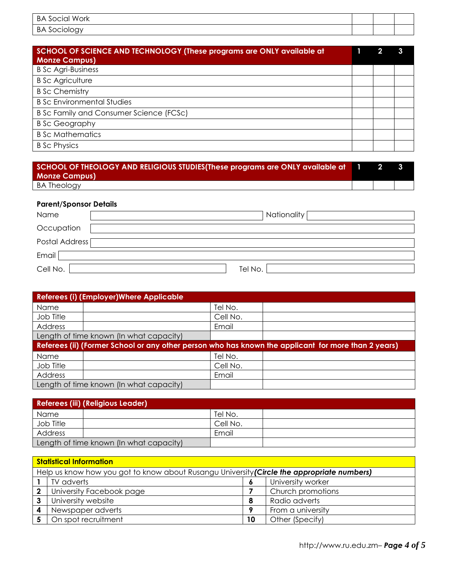| BA<br>Work<br>' ocialم |  |  |
|------------------------|--|--|
| ΒA                     |  |  |

| SCHOOL OF SCIENCE AND TECHNOLOGY (These programs are ONLY available at<br><b>Monze Campus)</b> |  |  |
|------------------------------------------------------------------------------------------------|--|--|
| <b>B Sc Agri-Business</b>                                                                      |  |  |
| <b>B</b> Sc Agriculture                                                                        |  |  |
| <b>B</b> Sc Chemistry                                                                          |  |  |
| <b>B Sc Environmental Studies</b>                                                              |  |  |
| B Sc Family and Consumer Science (FCSc)                                                        |  |  |
| <b>B</b> Sc Geography                                                                          |  |  |
| <b>B</b> Sc Mathematics                                                                        |  |  |
| <b>B</b> Sc Physics                                                                            |  |  |

| SCHOOL OF THEOLOGY AND RELIGIOUS STUDIES(These programs are ONLY available at 1<br><b>Monze Campus)</b> |  |  |
|---------------------------------------------------------------------------------------------------------|--|--|
| <b>BA Theology</b>                                                                                      |  |  |

### **Parent/Sponsor Details**

| Name           | Nationality |
|----------------|-------------|
| Occupation     |             |
| Postal Address |             |
| Email          |             |
| Cell No.       | Tel No.     |

| Referees (i) (Employer) Where Applicable                                                            |  |          |  |
|-----------------------------------------------------------------------------------------------------|--|----------|--|
| Name                                                                                                |  | Tel No.  |  |
| Job Title                                                                                           |  | Cell No. |  |
| Address                                                                                             |  | Email    |  |
| Length of time known (In what capacity)                                                             |  |          |  |
| Referees (ii) (Former School or any other person who has known the applicant for more than 2 years) |  |          |  |
|                                                                                                     |  |          |  |
| Name                                                                                                |  | Tel No.  |  |
| Job Title                                                                                           |  | Cell No. |  |
| Address                                                                                             |  | Email    |  |

| <b>Referees (iii) (Religious Leader)</b> |  |          |  |
|------------------------------------------|--|----------|--|
| Name                                     |  | Tel No.  |  |
| Job Title                                |  | Cell No. |  |
| Address                                  |  | Email    |  |
| Length of time known (In what capacity)  |  |          |  |

| <b>Statistical Information</b>                                                             |                          |           |                   |
|--------------------------------------------------------------------------------------------|--------------------------|-----------|-------------------|
| Help us know how you got to know about Rusangu University (Circle the appropriate numbers) |                          |           |                   |
|                                                                                            | TV adverts               | $\bullet$ | University worker |
| $\mathbf 2$                                                                                | University Facebook page |           | Church promotions |
| 3                                                                                          | University website       | -8        | Radio adverts     |
|                                                                                            | Newspaper adverts        | o         | From a university |
|                                                                                            | On spot recruitment      | 10        | Other (Specify)   |